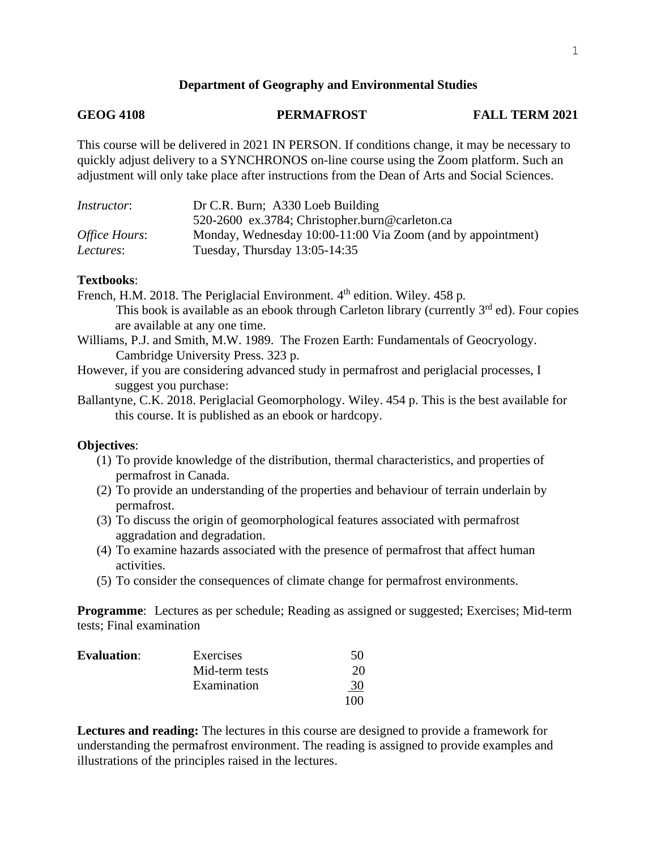## **Department of Geography and Environmental Studies**

# **GEOG 4108 PERMAFROST FALL TERM 2021**

This course will be delivered in 2021 IN PERSON. If conditions change, it may be necessary to quickly adjust delivery to a SYNCHRONOS on-line course using the Zoom platform. Such an adjustment will only take place after instructions from the Dean of Arts and Social Sciences.

| <i>Instructor</i> : | Dr C.R. Burn; A330 Loeb Building                            |  |
|---------------------|-------------------------------------------------------------|--|
|                     | 520-2600 ex.3784; Christopher.burn@carleton.ca              |  |
| Office Hours:       | Monday, Wednesday 10:00-11:00 Via Zoom (and by appointment) |  |
| Lectures:           | Tuesday, Thursday $13:05-14:35$                             |  |

## **Textbooks**:

French, H.M. 2018. The Periglacial Environment. 4<sup>th</sup> edition. Wiley. 458 p. This book is available as an ebook through Carleton library (currently  $3<sup>rd</sup>$  ed). Four copies are available at any one time.

Williams, P.J. and Smith, M.W. 1989. The Frozen Earth: Fundamentals of Geocryology. Cambridge University Press. 323 p.

However, if you are considering advanced study in permafrost and periglacial processes, I suggest you purchase:

Ballantyne, C.K. 2018. Periglacial Geomorphology. Wiley. 454 p. This is the best available for this course. It is published as an ebook or hardcopy.

## **Objectives**:

- (1) To provide knowledge of the distribution, thermal characteristics, and properties of permafrost in Canada.
- (2) To provide an understanding of the properties and behaviour of terrain underlain by permafrost.
- (3) To discuss the origin of geomorphological features associated with permafrost aggradation and degradation.
- (4) To examine hazards associated with the presence of permafrost that affect human activities.
- (5) To consider the consequences of climate change for permafrost environments.

**Programme**: Lectures as per schedule; Reading as assigned or suggested; Exercises; Mid-term tests; Final examination

| Evaluation: | Exercises      | 50        |
|-------------|----------------|-----------|
|             | Mid-term tests | 20        |
|             | Examination    | <u>30</u> |
|             |                | 100       |

**Lectures and reading:** The lectures in this course are designed to provide a framework for understanding the permafrost environment. The reading is assigned to provide examples and illustrations of the principles raised in the lectures.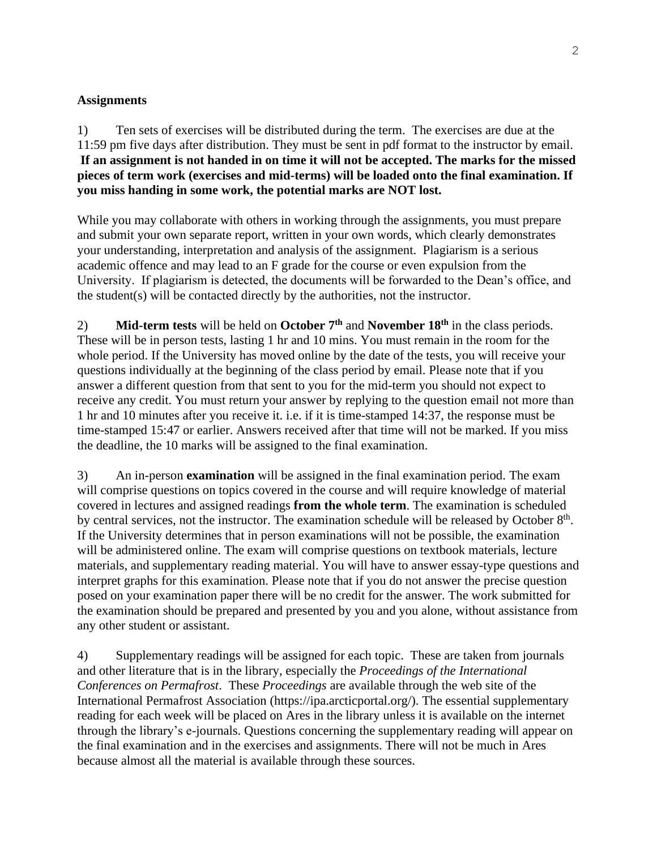# **Assignments**

1) Ten sets of exercises will be distributed during the term. The exercises are due at the 11:59 pm five days after distribution. They must be sent in pdf format to the instructor by email. **If an assignment is not handed in on time it will not be accepted. The marks for the missed pieces of term work (exercises and mid-terms) will be loaded onto the final examination. If you miss handing in some work, the potential marks are NOT lost.**

While you may collaborate with others in working through the assignments, you must prepare and submit your own separate report, written in your own words, which clearly demonstrates your understanding, interpretation and analysis of the assignment. Plagiarism is a serious academic offence and may lead to an F grade for the course or even expulsion from the University. If plagiarism is detected, the documents will be forwarded to the Dean's office, and the student(s) will be contacted directly by the authorities, not the instructor.

2) **Mid-term tests** will be held on **October**  $7<sup>th</sup>$  and **November 18**<sup>th</sup> in the class periods. These will be in person tests, lasting 1 hr and 10 mins. You must remain in the room for the whole period. If the University has moved online by the date of the tests, you will receive your questions individually at the beginning of the class period by email. Please note that if you answer a different question from that sent to you for the mid-term you should not expect to receive any credit. You must return your answer by replying to the question email not more than 1 hr and 10 minutes after you receive it. i.e. if it is time-stamped 14:37, the response must be time-stamped 15:47 or earlier. Answers received after that time will not be marked. If you miss the deadline, the 10 marks will be assigned to the final examination.

3) An in-person **examination** will be assigned in the final examination period. The exam will comprise questions on topics covered in the course and will require knowledge of material covered in lectures and assigned readings **from the whole term**. The examination is scheduled by central services, not the instructor. The examination schedule will be released by October 8<sup>th</sup>. If the University determines that in person examinations will not be possible, the examination will be administered online. The exam will comprise questions on textbook materials, lecture materials, and supplementary reading material. You will have to answer essay-type questions and interpret graphs for this examination. Please note that if you do not answer the precise question posed on your examination paper there will be no credit for the answer. The work submitted for the examination should be prepared and presented by you and you alone, without assistance from any other student or assistant.

4) Supplementary readings will be assigned for each topic. These are taken from journals and other literature that is in the library, especially the *Proceedings of the International Conferences on Permafrost*. These *Proceedings* are available through the web site of the International Permafrost Association (https://ipa.arcticportal.org/). The essential supplementary reading for each week will be placed on Ares in the library unless it is available on the internet through the library's e-journals. Questions concerning the supplementary reading will appear on the final examination and in the exercises and assignments. There will not be much in Ares because almost all the material is available through these sources.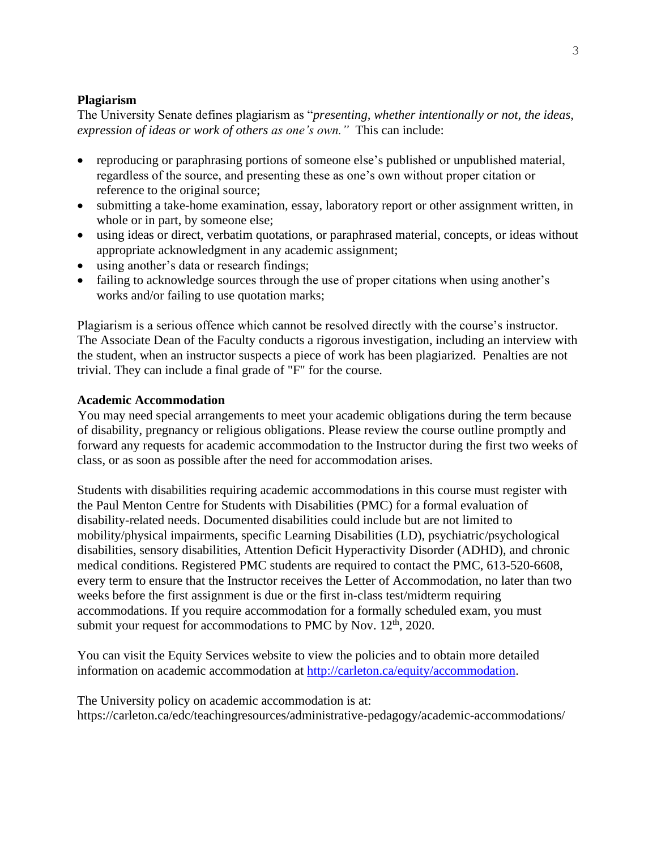# **Plagiarism**

The University Senate defines plagiarism as "*presenting, whether intentionally or not, the ideas, expression of ideas or work of others as one's own."* This can include:

- reproducing or paraphrasing portions of someone else's published or unpublished material, regardless of the source, and presenting these as one's own without proper citation or reference to the original source;
- submitting a take-home examination, essay, laboratory report or other assignment written, in whole or in part, by someone else;
- using ideas or direct, verbatim quotations, or paraphrased material, concepts, or ideas without appropriate acknowledgment in any academic assignment;
- using another's data or research findings;
- failing to acknowledge sources through the use of proper citations when using another's works and/or failing to use quotation marks;

Plagiarism is a serious offence which cannot be resolved directly with the course's instructor. The Associate Dean of the Faculty conducts a rigorous investigation, including an interview with the student, when an instructor suspects a piece of work has been plagiarized. Penalties are not trivial. They can include a final grade of "F" for the course.

## **Academic Accommodation**

You may need special arrangements to meet your academic obligations during the term because of disability, pregnancy or religious obligations. Please review the course outline promptly and forward any requests for academic accommodation to the Instructor during the first two weeks of class, or as soon as possible after the need for accommodation arises.

Students with disabilities requiring academic accommodations in this course must register with the Paul Menton Centre for Students with Disabilities (PMC) for a formal evaluation of disability-related needs. Documented disabilities could include but are not limited to mobility/physical impairments, specific Learning Disabilities (LD), psychiatric/psychological disabilities, sensory disabilities, Attention Deficit Hyperactivity Disorder (ADHD), and chronic medical conditions. Registered PMC students are required to contact the PMC, 613-520-6608, every term to ensure that the Instructor receives the Letter of Accommodation, no later than two weeks before the first assignment is due or the first in-class test/midterm requiring accommodations. If you require accommodation for a formally scheduled exam, you must submit your request for accommodations to PMC by Nov.  $12<sup>th</sup>$ , 2020.

You can visit the Equity Services website to view the policies and to obtain more detailed information on academic accommodation at [http://carleton.ca/equity/accommodation.](http://carleton.ca/equity/accommodation)

The University policy on academic accommodation is at: https://carleton.ca/edc/teachingresources/administrative-pedagogy/academic-accommodations/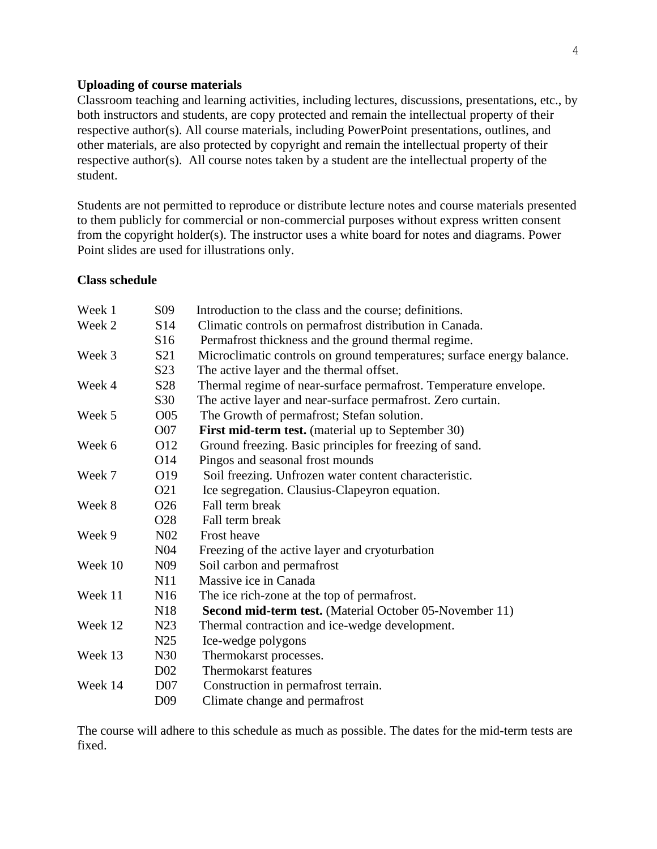## **Uploading of course materials**

Classroom teaching and learning activities, including lectures, discussions, presentations, etc., by both instructors and students, are copy protected and remain the intellectual property of their respective author(s). All course materials, including PowerPoint presentations, outlines, and other materials, are also protected by copyright and remain the intellectual property of their respective author(s). All course notes taken by a student are the intellectual property of the student.

Students are not permitted to reproduce or distribute lecture notes and course materials presented to them publicly for commercial or non-commercial purposes without express written consent from the copyright holder(s). The instructor uses a white board for notes and diagrams. Power Point slides are used for illustrations only.

### **Class schedule**

| Week 1                    | S <sub>09</sub> | Introduction to the class and the course; definitions.                 |
|---------------------------|-----------------|------------------------------------------------------------------------|
| Week 2                    | S <sub>14</sub> | Climatic controls on permafrost distribution in Canada.                |
|                           | S <sub>16</sub> | Permafrost thickness and the ground thermal regime.                    |
| Week 3<br>S <sub>21</sub> |                 | Microclimatic controls on ground temperatures; surface energy balance. |
|                           | S <sub>23</sub> | The active layer and the thermal offset.                               |
| S <sub>28</sub><br>Week 4 |                 | Thermal regime of near-surface permafrost. Temperature envelope.       |
|                           | S30             | The active layer and near-surface permafrost. Zero curtain.            |
| O05<br>Week 5             |                 | The Growth of permafrost; Stefan solution.                             |
|                           | O07             | <b>First mid-term test.</b> (material up to September 30)              |
| O <sub>12</sub><br>Week 6 |                 | Ground freezing. Basic principles for freezing of sand.                |
|                           | O <sub>14</sub> | Pingos and seasonal frost mounds                                       |
| Week 7                    | O19             | Soil freezing. Unfrozen water content characteristic.                  |
|                           | O <sub>21</sub> | Ice segregation. Clausius-Clapeyron equation.                          |
| Week 8                    | O <sub>26</sub> | Fall term break                                                        |
|                           | O <sub>28</sub> | Fall term break                                                        |
| Week 9                    | N <sub>02</sub> | <b>Frost heave</b>                                                     |
|                           | N <sub>04</sub> | Freezing of the active layer and cryoturbation                         |
| Week 10                   | N <sub>09</sub> | Soil carbon and permafrost                                             |
|                           | N11             | Massive ice in Canada                                                  |
| Week 11                   | N16             | The ice rich-zone at the top of permafrost.                            |
|                           | N <sub>18</sub> | <b>Second mid-term test.</b> (Material October 05-November 11)         |
| Week 12                   | N23             | Thermal contraction and ice-wedge development.                         |
|                           | N <sub>25</sub> | Ice-wedge polygons                                                     |
| Week 13                   | N30             | Thermokarst processes.                                                 |
|                           | D <sub>02</sub> | <b>Thermokarst features</b>                                            |
| Week 14                   | D <sub>07</sub> | Construction in permafrost terrain.                                    |
|                           | D <sub>09</sub> | Climate change and permafrost                                          |

The course will adhere to this schedule as much as possible. The dates for the mid-term tests are fixed.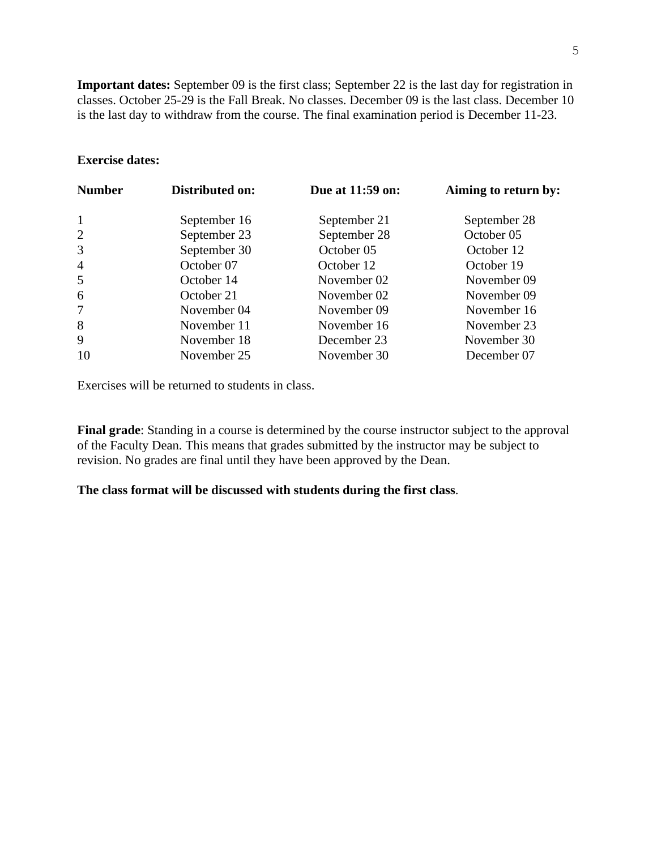**Important dates:** September 09 is the first class; September 22 is the last day for registration in classes. October 25-29 is the Fall Break. No classes. December 09 is the last class. December 10 is the last day to withdraw from the course. The final examination period is December 11-23.

## **Exercise dates:**

| <b>Number</b>  | Distributed on: | Due at 11:59 on: | Aiming to return by:<br>September 28 |  |
|----------------|-----------------|------------------|--------------------------------------|--|
| 1              | September 16    | September 21     |                                      |  |
| $\overline{2}$ | September 23    | September 28     | October 05                           |  |
| 3              | September 30    | October 05       | October 12                           |  |
| $\overline{4}$ | October 07      | October 12       | October 19                           |  |
| 5              | October 14      | November 02      | November 09                          |  |
| 6              | October 21      | November 02      | November 09                          |  |
| 7              | November 04     | November 09      | November 16                          |  |
| 8              | November 11     | November 16      | November 23                          |  |
| 9              | November 18     | December 23      | November 30                          |  |
| 10             | November 25     | November 30      | December 07                          |  |

Exercises will be returned to students in class.

**Final grade**: Standing in a course is determined by the course instructor subject to the approval of the Faculty Dean. This means that grades submitted by the instructor may be subject to revision. No grades are final until they have been approved by the Dean.

**The class format will be discussed with students during the first class**.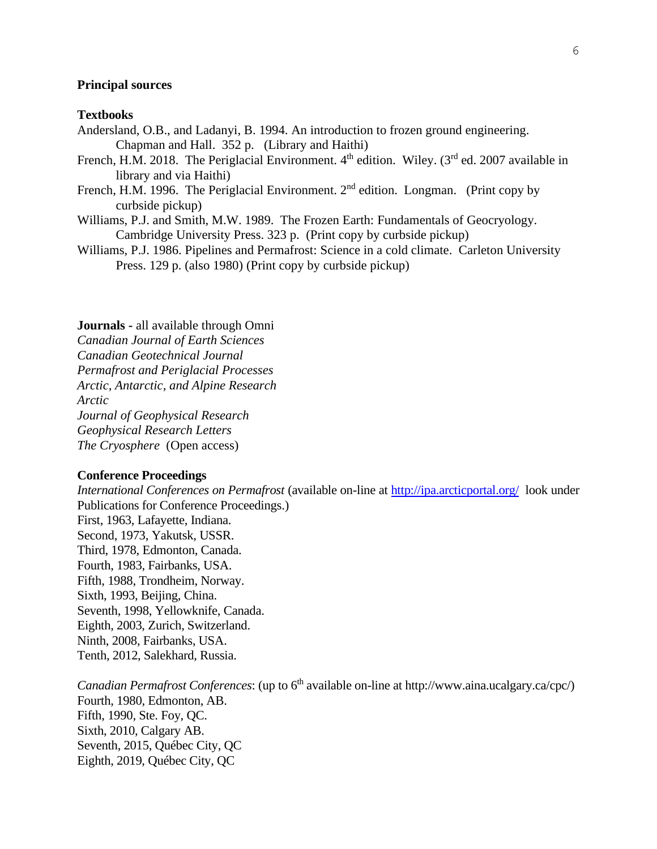#### **Principal sources**

#### **Textbooks**

- Andersland, O.B., and Ladanyi, B. 1994. An introduction to frozen ground engineering. Chapman and Hall. 352 p. (Library and Haithi)
- French, H.M. 2018. The Periglacial Environment. 4<sup>th</sup> edition. Wiley. (3<sup>rd</sup> ed. 2007 available in library and via Haithi)
- French, H.M. 1996. The Periglacial Environment.  $2<sup>nd</sup>$  edition. Longman. (Print copy by curbside pickup)
- Williams, P.J. and Smith, M.W. 1989. The Frozen Earth: Fundamentals of Geocryology. Cambridge University Press. 323 p. (Print copy by curbside pickup)
- Williams, P.J. 1986. Pipelines and Permafrost: Science in a cold climate. Carleton University Press. 129 p. (also 1980) (Print copy by curbside pickup)

#### **Journals -** all available through Omni

*Canadian Journal of Earth Sciences Canadian Geotechnical Journal Permafrost and Periglacial Processes Arctic, Antarctic, and Alpine Research Arctic Journal of Geophysical Research Geophysical Research Letters The Cryosphere* (Open access)

#### **Conference Proceedings**

*International Conferences on Permafrost* (available on-line at<http://ipa.arcticportal.org/>look under Publications for Conference Proceedings.) First, 1963, Lafayette, Indiana. Second, 1973, Yakutsk, USSR. Third, 1978, Edmonton, Canada. Fourth, 1983, Fairbanks, USA. Fifth, 1988, Trondheim, Norway. Sixth, 1993, Beijing, China. Seventh, 1998, Yellowknife, Canada. Eighth, 2003, Zurich, Switzerland. Ninth, 2008, Fairbanks, USA. Tenth, 2012, Salekhard, Russia.

*Canadian Permafrost Conferences*: (up to 6<sup>th</sup> available on-line at http://www.aina.ucalgary.ca/cpc/) Fourth, 1980, Edmonton, AB. Fifth, 1990, Ste. Foy, QC. Sixth, 2010, Calgary AB. Seventh, 2015, Québec City, QC Eighth, 2019, Québec City, QC